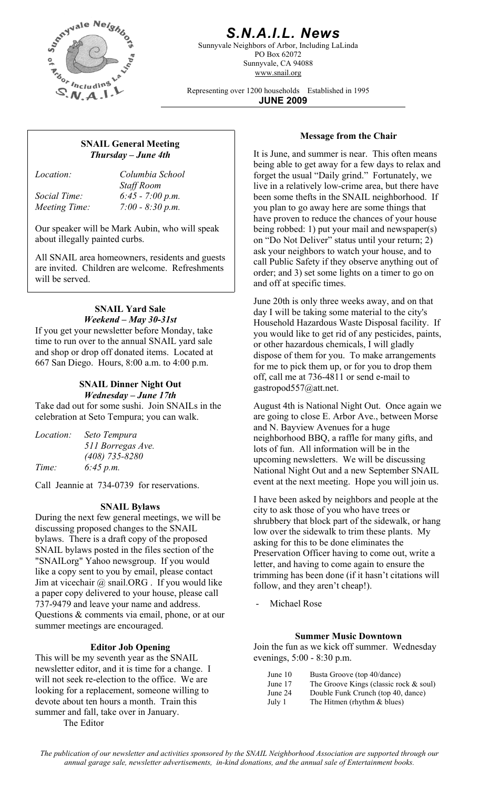

# *S.N.A.I.L. News*

Sunnyvale Neighbors of Arbor, Including LaLinda PO Box 62072 Sunnyvale, CA 94088 www.snail.org

Representing over 1200 households Established in 1995 **JUNE 2009**

# **Message from the Chair SNAIL General Meeting**  *Thursday – June 4th*

*Location: Columbia School Staff Room Social Time: 6:45 - 7:00 p.m. Meeting Time: 7:00 - 8:30 p.m.* 

Our speaker will be Mark Aubin, who will speak about illegally painted curbs.

All SNAIL area homeowners, residents and guests are invited. Children are welcome. Refreshments will be served.

### **SNAIL Yard Sale**  *Weekend – May 30-31st*

If you get your newsletter before Monday, take time to run over to the annual SNAIL yard sale and shop or drop off donated items. Located at 667 San Diego. Hours, 8:00 a.m. to 4:00 p.m.

#### **SNAIL Dinner Night Out**  *Wednesday – June 17th*

Take dad out for some sushi. Join SNAILs in the celebration at Seto Tempura; you can walk.

| <i>Location:</i> | Seto Tempura      |
|------------------|-------------------|
|                  | 511 Borregas Ave. |
|                  | $(408)$ 735-8280  |
| Time:            | 6:45 p.m.         |

Call Jeannie at 734-0739 for reservations.

## **SNAIL Bylaws**

During the next few general meetings, we will be discussing proposed changes to the SNAIL bylaws. There is a draft copy of the proposed SNAIL bylaws posted in the files section of the "SNAILorg" Yahoo newsgroup. If you would like a copy sent to you by email, please contact Jim at vicechair @ snail.ORG . If you would like a paper copy delivered to your house, please call 737-9479 and leave your name and address. Questions & comments via email, phone, or at our summer meetings are encouraged.

#### **Editor Job Opening**

This will be my seventh year as the SNAIL newsletter editor, and it is time for a change. I will not seek re-election to the office. We are looking for a replacement, someone willing to devote about ten hours a month. Train this summer and fall, take over in January.

The Editor

It is June, and summer is near. This often means being able to get away for a few days to relax and forget the usual "Daily grind." Fortunately, we live in a relatively low-crime area, but there have been some thefts in the SNAIL neighborhood. If you plan to go away here are some things that have proven to reduce the chances of your house being robbed: 1) put your mail and newspaper(s) on "Do Not Deliver" status until your return; 2) ask your neighbors to watch your house, and to call Public Safety if they observe anything out of order; and 3) set some lights on a timer to go on and off at specific times.

June 20th is only three weeks away, and on that day I will be taking some material to the city's Household Hazardous Waste Disposal facility. If you would like to get rid of any pesticides, paints, or other hazardous chemicals, I will gladly dispose of them for you. To make arrangements for me to pick them up, or for you to drop them off, call me at 736-4811 or send e-mail to gastropod557@att.net.

August 4th is National Night Out. Once again we are going to close E. Arbor Ave., between Morse and N. Bayview Avenues for a huge neighborhood BBQ, a raffle for many gifts, and lots of fun. All information will be in the upcoming newsletters. We will be discussing National Night Out and a new September SNAIL event at the next meeting. Hope you will join us.

I have been asked by neighbors and people at the city to ask those of you who have trees or shrubbery that block part of the sidewalk, or hang low over the sidewalk to trim these plants. My asking for this to be done eliminates the Preservation Officer having to come out, write a letter, and having to come again to ensure the trimming has been done (if it hasn't citations will follow, and they aren't cheap!).

- Michael Rose

#### **Summer Music Downtown**

Join the fun as we kick off summer. Wednesday evenings, 5:00 - 8:30 p.m.

| June $10$ | Busta Groove (top 40/dance)               |
|-----------|-------------------------------------------|
| June 17   | The Groove Kings (classic rock $\&$ soul) |
| June 24   | Double Funk Crunch (top 40, dance)        |
| July 1    | The Hitmen (rhythm $&$ blues)             |

*The publication of our newsletter and activities sponsored by the SNAIL Neighborhood Association are supported through our annual garage sale, newsletter advertisements, in-kind donations, and the annual sale of Entertainment books.*